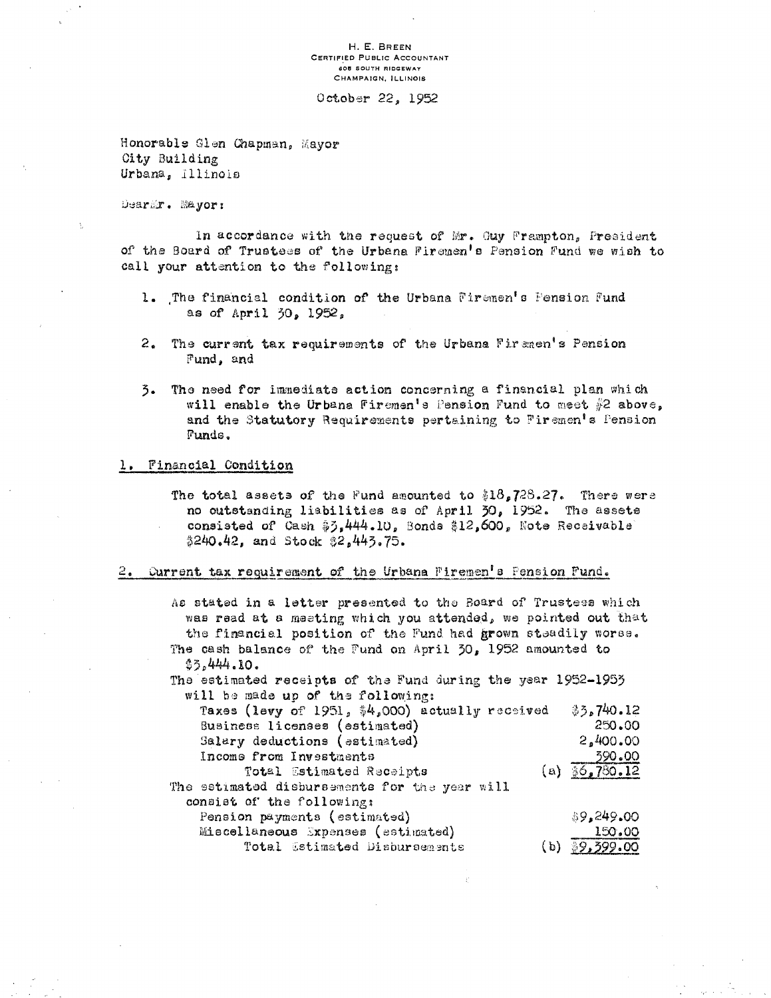H. E. BREEN CERTIFIED PUBLIC ACCOUNTANT **605 SOUTH RIDGEWAY** CHAMPAIGN, ILLINOIS

October 22, 1952

Honorable Glen Chapman, Mayor City Building Urbana, Illinois

Dearir. Mayor:

In accordance with the request of Mr. Guy Frampton, President of the Board of Trustees of the Urbana Firemen's Pension Fund we wish to call your attention to the following:

- 1. The financial condition of the Urbana Firemen's Fension Fund as of April 30, 1952,
- $2.1$ The current tax requirements of the Urbana Firemen's Pension Fund, and
- The need for immediate action concerning a financial plan which  $\overline{3}$ . will enable the Urbana Firemen's Pension Fund to meet #2 above, and the Statutory Requirements pertaining to Firemen's Pension Funds.

## 1. Financial Condition

The total assets of the Fund amounted to  $18.728.27$ . There were no outstanding liabilities as of April 30, 1952. The assete consisted of Cash \$3,444.10, Bonds \$12,600, Note Receivable \$240.42, and Stock \$2,443.75.

2. Current tax requirement of the Urbana Firemen's Pension Fund.

| As stated in a letter presented to the Board of Trustees which |                             |
|----------------------------------------------------------------|-----------------------------|
| was read at a meeting which you attended, we pointed out that  |                             |
| the financial position of the Fund had grown steadily worse.   |                             |
|                                                                |                             |
| The cash balance of the Fund on April 30, 1952 amounted to     |                             |
| \$5.444.10.                                                    |                             |
| The estimated receipts of the Fund during the year 1952-1955   |                             |
| will be made up of the following:                              |                             |
| Taxes (levy of 1951, \$4,000) actually received                | 33,740.12                   |
| Business licenses (estimated)                                  | 250.00                      |
| Salary deductions (estimated)                                  | 2,400.00                    |
|                                                                |                             |
| Income from Investments                                        | 390.00                      |
| Total Estimated Receipts                                       | (a) $\frac{1}{96}$ , 780.12 |
| The setimated disbursements for the year will                  |                             |
| consist of the following:                                      |                             |
| Pension payments (estimated)                                   | \$9,249.00                  |
| Miscellaneous Expenses (estimated)                             | 150.00                      |
| Total Estimated Disbursements                                  | $(b)$ \$9,399.00            |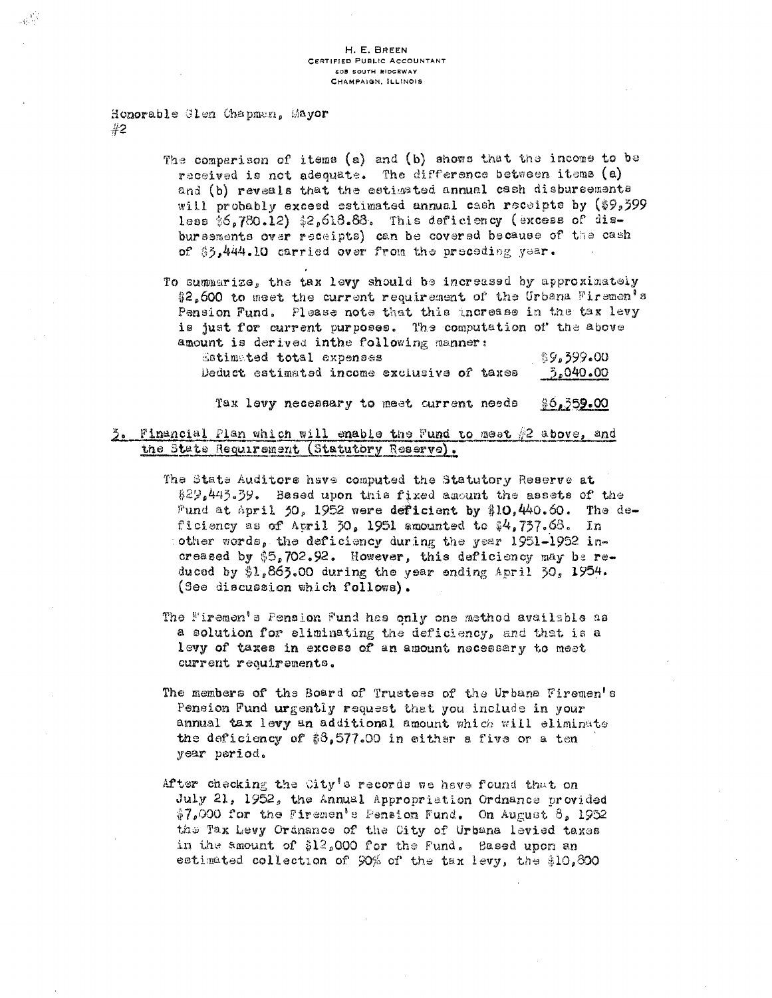Honorable Glen Chapman, Mayor  $#2$ 

 $\omega^{13}$ 

The comparison of items (a) and (b) shows that the income to be received is not adequate. The difference between items (a) and (b) reveals that the estimated annual cash disbursements will probably exceed estimated annual cash receipts by (\$9,399 less \$6,780.12) \$2,618.88. This deficiency (excess of disbursements over receipts) can be covered because of the cash of \$3,444.10 carried over from the preceding year.

To summarize, the tax levy should be increased by approximately \$2,600 to meet the current requirement of the Urbana Firemen's Pension Fund. Please note that this increase in the tax levy is just for current purposes. The computation of the above amount is derived inthe following manner:

| Estimated total expenses |                                            |  | క9,399.00 |  |
|--------------------------|--------------------------------------------|--|-----------|--|
|                          | Deduct estimated income exclusive of taxes |  | 3,040.00  |  |

Tax levy necessary to meet current needs  $$6,359.00$ 

3. Financial Plan which will enable the Fund to meet #2 above, and the State Requirement (Statutory Reserve).

- The State Auditors have computed the Statutory Reserve at \$29.443.39. Based upon this fixed amount the assets of the Fund at April 50, 1952 were deficient by \$10,440.60. The deficiency as of April 30, 1951 amounted to  $4/757.68$ . In other words, the deficiency during the year 1951-1952 increased by \$5,702.92. However, this deficiency may be reduced by  $1.865.00$  during the year ending April 50, 1954. (See discussion which follows).
- The Firemen's Pension Fund has only one method available as a solution for eliminating the deficiency, and that is a levy of taxes in excess of an amount necessary to meet current requirements.
- The members of the Board of Trustess of the Urbana Firemen's Pension Fund urgently request that you include in your annual tax levy an additional amount which will eliminate the deficiency of  $3.577.00$  in either a five or a ten year period.
- After checking the City's records we have found that on July 21, 1952, the Annual Appropriation Ordnance provided \$7,000 for the Firemen's Pension Fund. On August 8, 1952 the Tax Levy Ordnance of the City of Urbana levied taxes in the amount of \$12,000 for the Fund. Based upon an estimated collection of 90% of the tax levy, the \$10,800